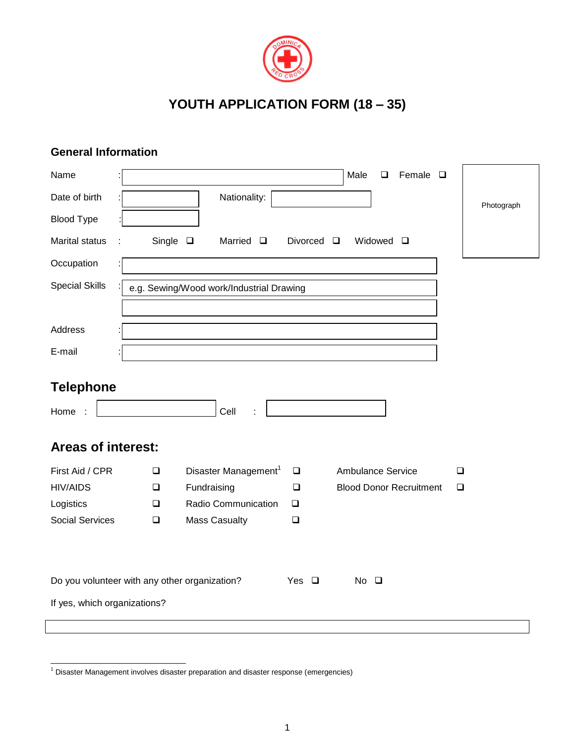

## **YOUTH APPLICATION FORM (18 – 35)**

## **General Information**

| Name                                     | Male<br>Female $\square$<br>❏                                                    |            |
|------------------------------------------|----------------------------------------------------------------------------------|------------|
| Date of birth                            | Nationality:                                                                     | Photograph |
| <b>Blood Type</b>                        |                                                                                  |            |
| <b>Marital status</b>                    | Single $\square$<br>Married $\square$<br>Divorced $\square$<br>Widowed $\square$ |            |
| Occupation                               |                                                                                  |            |
| <b>Special Skills</b>                    | e.g. Sewing/Wood work/Industrial Drawing                                         |            |
|                                          |                                                                                  |            |
| Address                                  |                                                                                  |            |
| E-mail                                   |                                                                                  |            |
| <b>Telephone</b><br>Home<br>$\mathbf{L}$ | Cell                                                                             |            |
| <b>Areas of interest:</b>                |                                                                                  |            |
| First Aid / CPR                          | Disaster Management <sup>1</sup><br>Ambulance Service<br>$\Box$<br>❏             | $\Box$     |
| <b>HIV/AIDS</b>                          | Fundraising<br><b>Blood Donor Recruitment</b><br>$\Box$<br>$\Box$                | $\Box$     |
| Logistics                                | Radio Communication<br>$\Box$<br>$\Box$                                          |            |
| <b>Social Services</b>                   | <b>Mass Casualty</b><br>$\Box$<br>❏                                              |            |
|                                          |                                                                                  |            |
|                                          | Do you volunteer with any other organization?<br>Yes $\Box$<br>No $\Box$         |            |
| If yes, which organizations?             |                                                                                  |            |
|                                          |                                                                                  |            |

 $1$  Disaster Management involves disaster preparation and disaster response (emergencies)

-